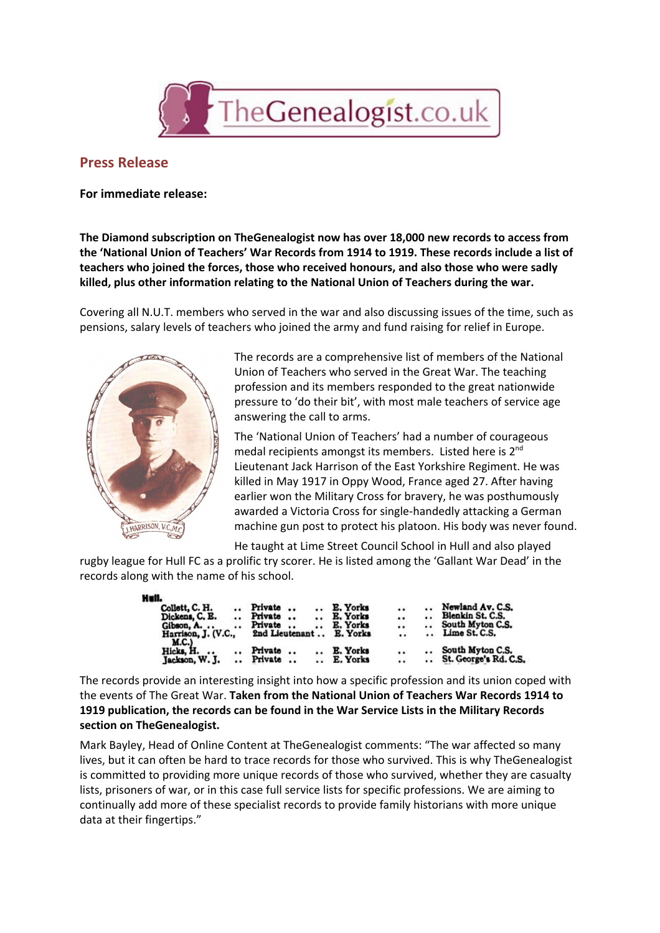

## **Press Release**

## **For immediate release:**

**The Diamond subscription on TheGenealogist now has over 18,000 new records to access from the 'National Union of Teachers' War Records from 1914 to 1919. These records include a list of teachers who joined the forces, those who received honours, and also those who were sadly killed, plus other information relating to the National Union of Teachers during the war.**

Covering all N.U.T. members who served in the war and also discussing issues of the time, such as pensions, salary levels of teachers who joined the army and fund raising for relief in Europe.



The records are a comprehensive list of members of the National Union of Teachers who served in the Great War. The teaching profession and its members responded to the great nationwide pressure to 'do their bit', with most male teachers of service age answering the call to arms.

The 'National Union of Teachers' had a number of courageous medal recipients amongst its members. Listed here is 2<sup>nd</sup> Lieutenant Jack Harrison of the East Yorkshire Regiment. He was killed in May 1917 in Oppy Wood, France aged 27. After having earlier won the Military Cross for bravery, he was posthumously awarded a Victoria Cross for single-handedly attacking a German machine gun post to protect his platoon. His body was never found.

He taught at Lime Street Council School in Hull and also played

rugby league for Hull FC as a prolific try scorer. He is listed among the 'Gallant War Dead' in the records along with the name of his school.

| Hull.                                          |           |         |                      |                      |                 |         |     |                       |
|------------------------------------------------|-----------|---------|----------------------|----------------------|-----------------|---------|-----|-----------------------|
| Collett, C. H.                                 | $\cdot$ . | Private |                      |                      | E. Yorks        |         |     | Newland Av. C.S.      |
| Dickens, C. E.                                 |           | Private | $\ddot{\phantom{0}}$ | $\ddot{\phantom{1}}$ | E. Yorks        | $\cdot$ |     | Blenkin St. C.S.      |
| Gibson, A.                                     | $\cdots$  | Private |                      |                      | E. Yorks        |         |     | South Myton C.S.      |
| 2nd Lieutenant<br>Harrison, J. (V.C.,<br>M.C.) |           |         |                      |                      | E. Yorks        |         | . . | Lime St. C.S.         |
| Hicks. H.<br>$\cdots$                          |           | Private |                      |                      | <b>E. Yorks</b> |         |     | South Myton C.S.      |
| Jackson, W. J.                                 |           | Private |                      |                      | E. Yorks        |         |     | St. George's Rd. C.S. |

The records provide an interesting insight into how a specific profession and its union coped with the events of The Great War. **Taken from the National Union of Teachers War Records 1914 to 1919 publication, the records can be found in the War Service Lists in the Military Records section on TheGenealogist.**

Mark Bayley, Head of Online Content at TheGenealogist comments: "The war affected so many lives, but it can often be hard to trace records for those who survived. This is why TheGenealogist is committed to providing more unique records of those who survived, whether they are casualty lists, prisoners of war, or in this case full service lists for specific professions. We are aiming to continually add more of these specialist records to provide family historians with more unique data at their fingertips."